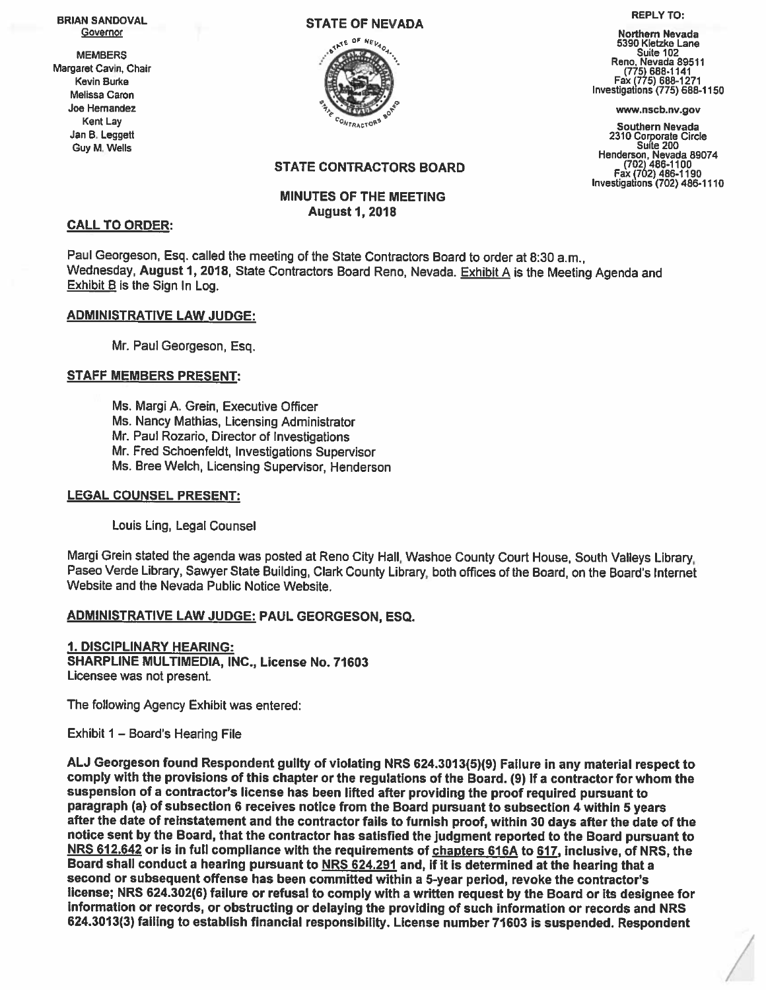REPLY TO: REPLY TO: A REPLY TO: A REPLY TO: A REPLY TO: A REPLY TO: A REPLY TO: A REPLY TO: A REPLY TO: A REPLY TO: A REPLY TO: A REPLY TO: A REPLY TO: A REPLY TO: A REPLY TO: A REPLY TO: A REPLY TO: A REPLY TO: A REPLY TO



5390 Kietzke Lane MEMBERS Margaret Cavin, Chair Members (1775) 688-1141<br>
Margaret Cavin, Chair Suite 102<br>
Margaret Cavin, Chair (775) 688-1141<br>
Kevin Burke Fax (775) 688-1141 Fax (775) 688-1271 Melissa Caron **Caron Caron Caron Caron Caron Caron Caron Caron Caron Caron Caron Caron Caron Caron Caron Caron Caron Caron Caron Caron Caron Caron Caron Caron Caron Caron Caron Caron Caron Caron Caron Caron Caron Caron Car** 

Kent Lay Southern Nevada Jan B. Leggett <sup>2310</sup> Corporate Circle <sup>G</sup> uy •- <sup>e</sup> Suite <sup>200</sup> Henderson, Nevada <sup>89074</sup> (702) 486-1100 Fax (702) 486-1190 Investigations (702) 486-1110

# STATE CONTRACTORS BOARD

## MINUTES OF THE MEETING August 1,2018

### CALL TO ORDER:

Paul Georgeson, Esq. called the meeting of the State Contractors Board to order at 8:30 a.m., Wednesday, August 1, 2018, State Contractors Board Reno, Nevada. Exhibit <sup>A</sup> is the Meeting Agenda and Exhibit <sup>B</sup> is the Sign In Log.

#### ADMINISTRATIVE LAW JUDGE:

Mr. Paul Georgeson, Esq.

## STAFF MEMBERS PRESENT:

Ms. Margi A. Grein, Executive Officer Ms. Nancy Mathias, Licensing Administrator Mr. Paul Rozario, Director of Investigations Mr. Fred Schoenfeldt, Investigations Supervisor Ms. Bree Welch, Licensing Supervisor, Henderson

#### LEGAL COUNSEL PRESENT:

Louis Ling, Legal Counsel

Margi Grein stated the agenda was posted at Reno City Hall, Washoe County Court House, South Valleys Library, Paseo Verde Library, Sawyer State Building, Clark County Library, both offices of the Board, on the Board's Internet Website and the Nevada Public Notice Website.

## ADMINISTRATIVE LAW JUDGE: PAUL GEORGESON, ESQ.

1. DISCIPLINARY HEARING: SHARPLINE MULTIMEDIA, INC., License No. 71603 Licensee was not present.

The following Agency Exhibit was entered:

Exhibit 1 — Board's Hearing File

AU Georgeson found Respondent guilty of violating NRS 624.3013(5)(9) Failure in any material respec<sup>t</sup> to comply with the provisions of this chapter or the regulations of the Board. (9) If <sup>a</sup> contractor for whom the suspension of <sup>a</sup> contractor's license has been lifted after providing the proo<sup>f</sup> required pursuan<sup>t</sup> to paragraph (a) of subsection 6 receives notice from the Board pursuant to subsection 4 within 5 years<br>after the date of reinstatement and the contractor fails to furnish proof, within 30 days after the date of the notice sent by the Board, that the contractor has satisfied the judgment reported to the Board pursuant to<br>NRS 612.642 or is in full compliance with the requirements of <u>chapters 616A</u> to 617, inclusive, of NRS, the Board shall conduct <sup>a</sup> hearing pursuan<sup>t</sup> to NRS 624.291 and, if it is determined at the hearing that <sup>a</sup> second or subsequent offense has been committed within <sup>a</sup> 5-year period, revoke the contractor's license; NRS 624.302(6) failure or refusal to comply with <sup>a</sup> written reques<sup>t</sup> by the Board or its designee for information or records, or obstructing or delaying the providing of such information or records and NRS 624.3013(3) failing to establish financial responsibility. License number <sup>71603</sup> is suspended. Respondent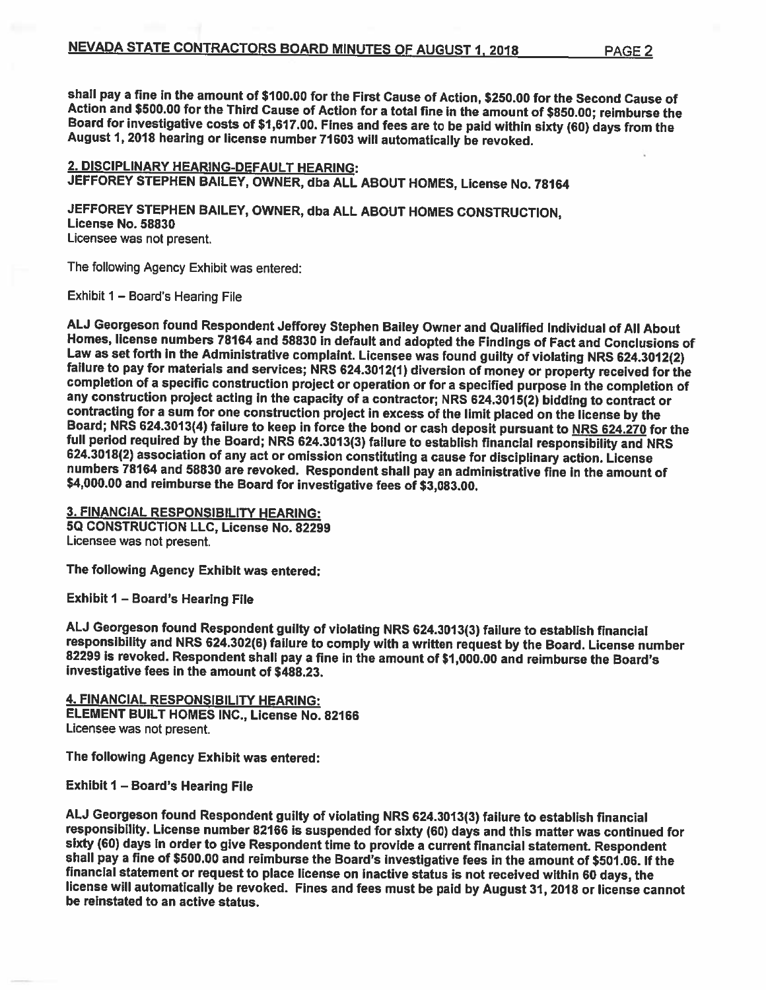shall pay a fine in the amount of \$100.00 for the First Cause of Action, \$250.00 for the Second Cause of<br>Action and \$500.00 for the Third Cause of Action for a total fine in the amount of \$850.00; reimburse the<br>Board for i

2. DISCIPLINARY HEARING-DEFAULT HEARING: JEFFOREY STEPHEN BAILEY, OWNER, dba ALL ABOUT HOMES, License No. <sup>78164</sup>

JEFFOREY STEPHEN BAILEY, OWNER, dba ALL ABOUT HOMES CONSTRUCTION, License No. <sup>58830</sup> Licensee was not present.

The following Agency Exhibit was entered:

Exhibit 1 - Board's Hearing File

ALJ Georgeson found Respondent Jefforey Stephen Bailey Owner and Qualified Individual of All About<br>Homes, license numbers 78164 and 58830 in default and adopted the Findings of Fact and Conclusions of<br>Law as set forth in t completion of a specific construction project or operation or for a specified purpose in the completion of<br>any construction project acting in the capacity of a contractor; NRS 624.3015(2) bidding to contract or contracting for a sum for one construction project in excess of the limit placed on the license by the<br>Board; NRS 624.3013(4) failure to keep in force the bond or cash deposit pursuant to <u>NRS 624.270</u> for the<br>full period

3. FINANCIAL RESPONSIBILITY HEARING: SQ CONSTRUCTION LLC, License No. 82299 Licensee was not present.

The following Agency Exhibit was entered:

Exhibit <sup>I</sup> — Board's Hearing File

ALJ Georgeson found Respondent guilty of violating NRS 624.3013(3) failure to establish financial<br>responsibility and NRS 624.302(6) failure to comply with a written request by the Board. License number 82299 is revoked. Respondent shall pay a fine in the amount of \$1,000.00 and reimburse the Board's<br>investigative fees in the amount of \$488.23.

4. FINANCIAL RESPONSIBILITY HEARING: ELEMENT BUILT HOMES INC., License No. 82166 Licensee was not present.

The following Agency Exhibit was entered:

Exhibit <sup>I</sup> — Board's Hearing File

AU Georgeson found Respondent guilty of violating NRS 624.3013(3) failure to establish financial sixty (60) days in order to give Respondent time to provide a current financial statement. Respondent shall pay a fine of \$500.00 and reimburse the Board's investigative fees in the amount of \$501.06. If the financial stat